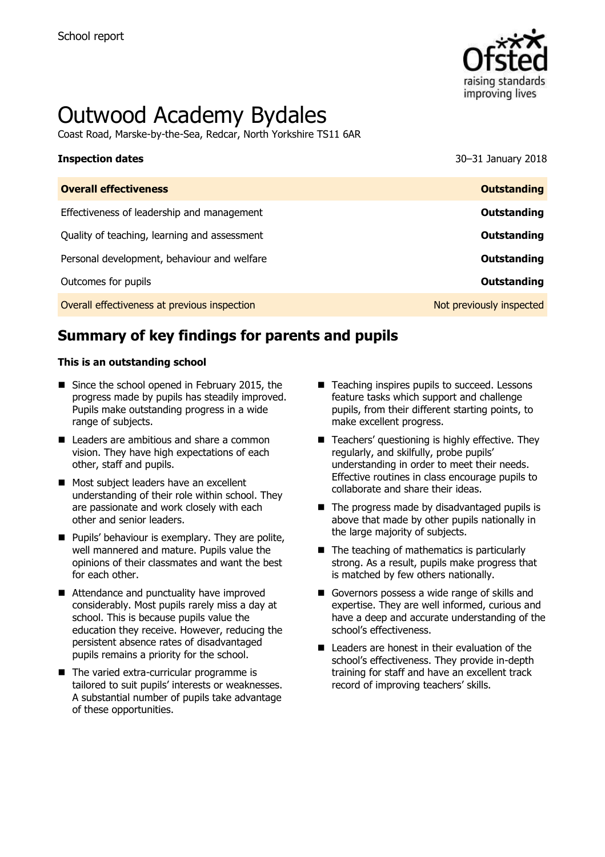

# Outwood Academy Bydales

Coast Road, Marske-by-the-Sea, Redcar, North Yorkshire TS11 6AR

# **Inspection dates** 30–31 January 2018

| <b>Overall effectiveness</b>                 | <b>Outstanding</b>       |
|----------------------------------------------|--------------------------|
| Effectiveness of leadership and management   | Outstanding              |
| Quality of teaching, learning and assessment | Outstanding              |
| Personal development, behaviour and welfare  | Outstanding              |
| Outcomes for pupils                          | Outstanding              |
| Overall effectiveness at previous inspection | Not previously inspected |

# **Summary of key findings for parents and pupils**

#### **This is an outstanding school**

- Since the school opened in February 2015, the progress made by pupils has steadily improved. Pupils make outstanding progress in a wide range of subjects.
- Leaders are ambitious and share a common vision. They have high expectations of each other, staff and pupils.
- Most subject leaders have an excellent understanding of their role within school. They are passionate and work closely with each other and senior leaders.
- **Pupils' behaviour is exemplary. They are polite,** well mannered and mature. Pupils value the opinions of their classmates and want the best for each other.
- Attendance and punctuality have improved considerably. Most pupils rarely miss a day at school. This is because pupils value the education they receive. However, reducing the persistent absence rates of disadvantaged pupils remains a priority for the school.
- The varied extra-curricular programme is tailored to suit pupils' interests or weaknesses. A substantial number of pupils take advantage of these opportunities.
- Teaching inspires pupils to succeed. Lessons feature tasks which support and challenge pupils, from their different starting points, to make excellent progress.
- Teachers' questioning is highly effective. They regularly, and skilfully, probe pupils' understanding in order to meet their needs. Effective routines in class encourage pupils to collaborate and share their ideas.
- $\blacksquare$  The progress made by disadvantaged pupils is above that made by other pupils nationally in the large majority of subjects.
- $\blacksquare$  The teaching of mathematics is particularly strong. As a result, pupils make progress that is matched by few others nationally.
- Governors possess a wide range of skills and expertise. They are well informed, curious and have a deep and accurate understanding of the school's effectiveness.
- $\blacksquare$  Leaders are honest in their evaluation of the school's effectiveness. They provide in-depth training for staff and have an excellent track record of improving teachers' skills.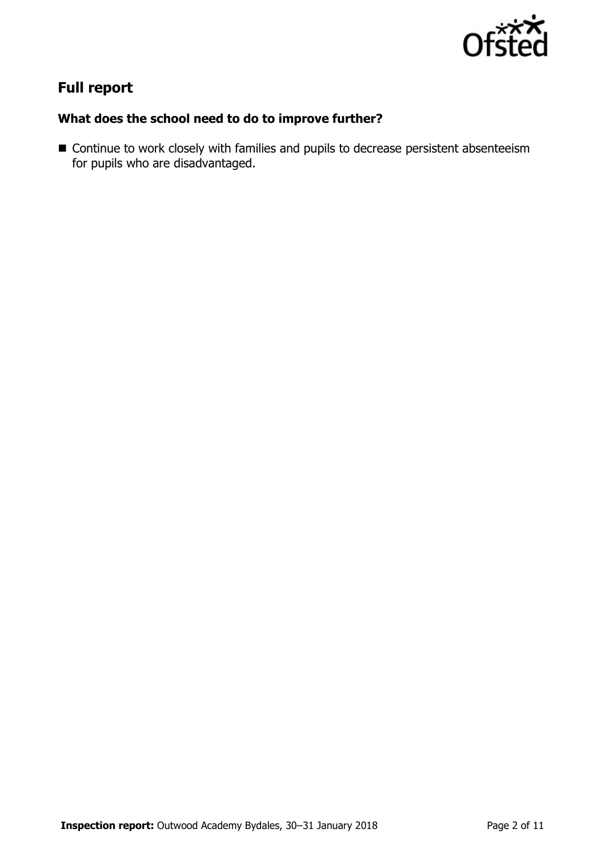

# **Full report**

### **What does the school need to do to improve further?**

■ Continue to work closely with families and pupils to decrease persistent absenteeism for pupils who are disadvantaged.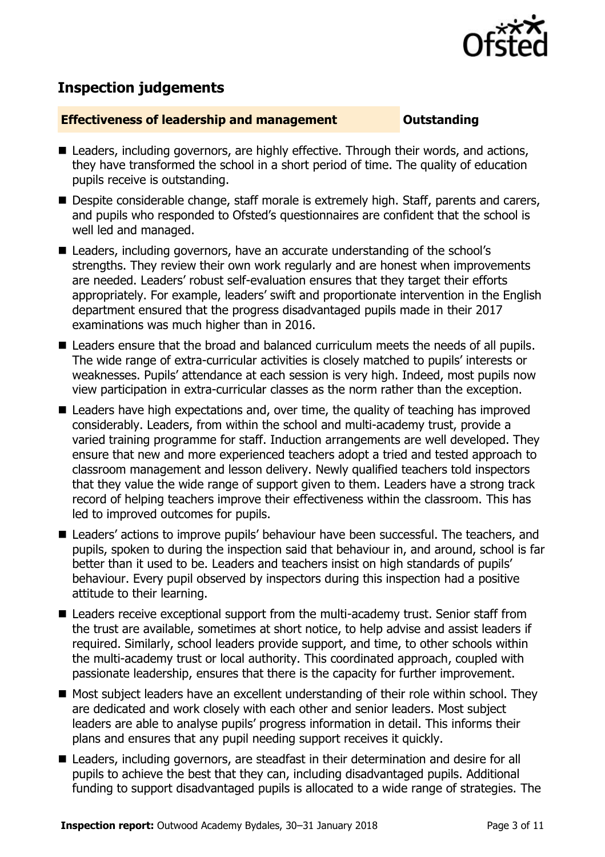

# **Inspection judgements**

#### **Effectiveness of leadership and management COULDER COULDER OUTSTANDING**

- Leaders, including governors, are highly effective. Through their words, and actions, they have transformed the school in a short period of time. The quality of education pupils receive is outstanding.
- Despite considerable change, staff morale is extremely high. Staff, parents and carers, and pupils who responded to Ofsted's questionnaires are confident that the school is well led and managed.
- Leaders, including governors, have an accurate understanding of the school's strengths. They review their own work regularly and are honest when improvements are needed. Leaders' robust self-evaluation ensures that they target their efforts appropriately. For example, leaders' swift and proportionate intervention in the English department ensured that the progress disadvantaged pupils made in their 2017 examinations was much higher than in 2016.
- Leaders ensure that the broad and balanced curriculum meets the needs of all pupils. The wide range of extra-curricular activities is closely matched to pupils' interests or weaknesses. Pupils' attendance at each session is very high. Indeed, most pupils now view participation in extra-curricular classes as the norm rather than the exception.
- Leaders have high expectations and, over time, the quality of teaching has improved considerably. Leaders, from within the school and multi-academy trust, provide a varied training programme for staff. Induction arrangements are well developed. They ensure that new and more experienced teachers adopt a tried and tested approach to classroom management and lesson delivery. Newly qualified teachers told inspectors that they value the wide range of support given to them. Leaders have a strong track record of helping teachers improve their effectiveness within the classroom. This has led to improved outcomes for pupils.
- Leaders' actions to improve pupils' behaviour have been successful. The teachers, and pupils, spoken to during the inspection said that behaviour in, and around, school is far better than it used to be. Leaders and teachers insist on high standards of pupils' behaviour. Every pupil observed by inspectors during this inspection had a positive attitude to their learning.
- Leaders receive exceptional support from the multi-academy trust. Senior staff from the trust are available, sometimes at short notice, to help advise and assist leaders if required. Similarly, school leaders provide support, and time, to other schools within the multi-academy trust or local authority. This coordinated approach, coupled with passionate leadership, ensures that there is the capacity for further improvement.
- Most subject leaders have an excellent understanding of their role within school. They are dedicated and work closely with each other and senior leaders. Most subject leaders are able to analyse pupils' progress information in detail. This informs their plans and ensures that any pupil needing support receives it quickly.
- Leaders, including governors, are steadfast in their determination and desire for all pupils to achieve the best that they can, including disadvantaged pupils. Additional funding to support disadvantaged pupils is allocated to a wide range of strategies. The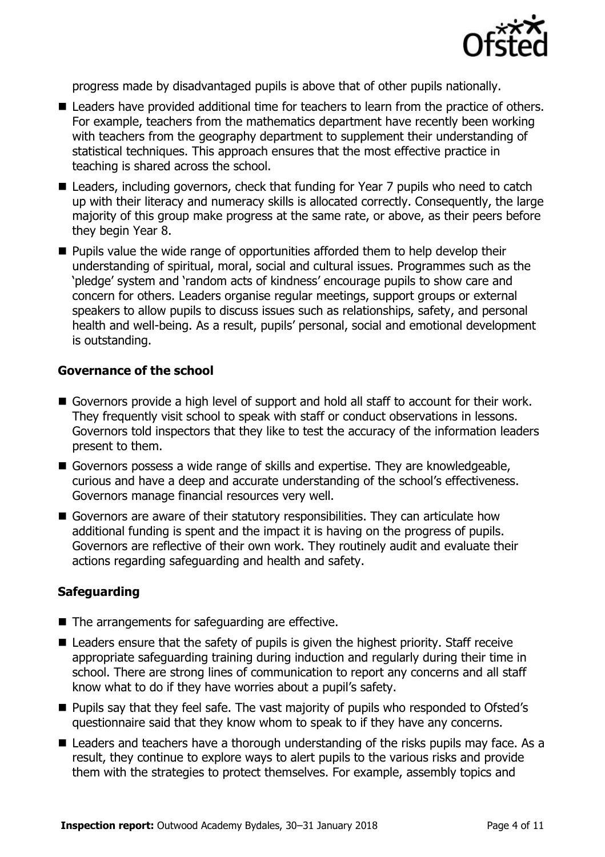

progress made by disadvantaged pupils is above that of other pupils nationally.

- Leaders have provided additional time for teachers to learn from the practice of others. For example, teachers from the mathematics department have recently been working with teachers from the geography department to supplement their understanding of statistical techniques. This approach ensures that the most effective practice in teaching is shared across the school.
- Leaders, including governors, check that funding for Year 7 pupils who need to catch up with their literacy and numeracy skills is allocated correctly. Consequently, the large majority of this group make progress at the same rate, or above, as their peers before they begin Year 8.
- **Pupils value the wide range of opportunities afforded them to help develop their** understanding of spiritual, moral, social and cultural issues. Programmes such as the 'pledge' system and 'random acts of kindness' encourage pupils to show care and concern for others. Leaders organise regular meetings, support groups or external speakers to allow pupils to discuss issues such as relationships, safety, and personal health and well-being. As a result, pupils' personal, social and emotional development is outstanding.

#### **Governance of the school**

- Governors provide a high level of support and hold all staff to account for their work. They frequently visit school to speak with staff or conduct observations in lessons. Governors told inspectors that they like to test the accuracy of the information leaders present to them.
- Governors possess a wide range of skills and expertise. They are knowledgeable, curious and have a deep and accurate understanding of the school's effectiveness. Governors manage financial resources very well.
- Governors are aware of their statutory responsibilities. They can articulate how additional funding is spent and the impact it is having on the progress of pupils. Governors are reflective of their own work. They routinely audit and evaluate their actions regarding safeguarding and health and safety.

#### **Safeguarding**

- The arrangements for safeguarding are effective.
- Leaders ensure that the safety of pupils is given the highest priority. Staff receive appropriate safeguarding training during induction and regularly during their time in school. There are strong lines of communication to report any concerns and all staff know what to do if they have worries about a pupil's safety.
- **Pupils say that they feel safe. The vast majority of pupils who responded to Ofsted's** questionnaire said that they know whom to speak to if they have any concerns.
- Leaders and teachers have a thorough understanding of the risks pupils may face. As a result, they continue to explore ways to alert pupils to the various risks and provide them with the strategies to protect themselves. For example, assembly topics and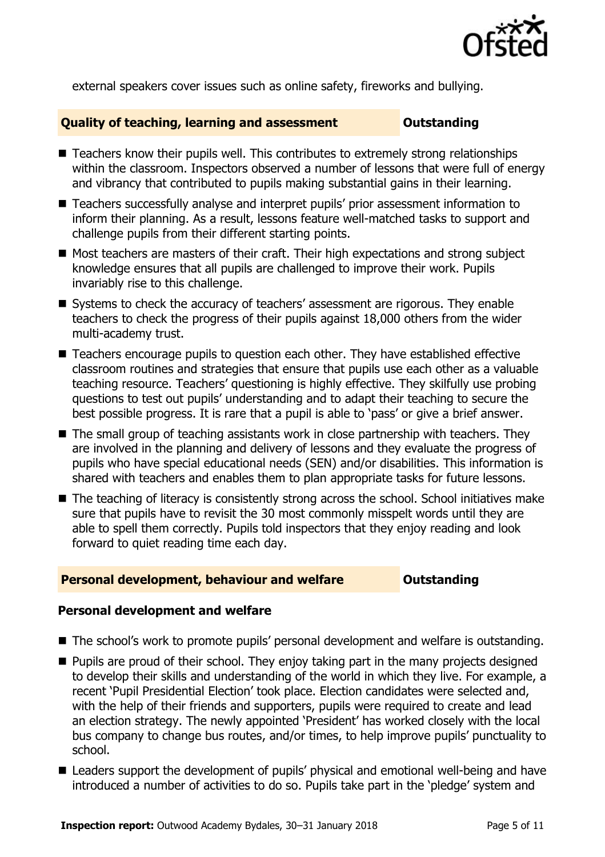

external speakers cover issues such as online safety, fireworks and bullying.

#### **Quality of teaching, learning and assessment Outstanding**

- Teachers know their pupils well. This contributes to extremely strong relationships within the classroom. Inspectors observed a number of lessons that were full of energy and vibrancy that contributed to pupils making substantial gains in their learning.
- Teachers successfully analyse and interpret pupils' prior assessment information to inform their planning. As a result, lessons feature well-matched tasks to support and challenge pupils from their different starting points.
- Most teachers are masters of their craft. Their high expectations and strong subject knowledge ensures that all pupils are challenged to improve their work. Pupils invariably rise to this challenge.
- Systems to check the accuracy of teachers' assessment are rigorous. They enable teachers to check the progress of their pupils against 18,000 others from the wider multi-academy trust.
- Teachers encourage pupils to question each other. They have established effective classroom routines and strategies that ensure that pupils use each other as a valuable teaching resource. Teachers' questioning is highly effective. They skilfully use probing questions to test out pupils' understanding and to adapt their teaching to secure the best possible progress. It is rare that a pupil is able to 'pass' or give a brief answer.
- The small group of teaching assistants work in close partnership with teachers. They are involved in the planning and delivery of lessons and they evaluate the progress of pupils who have special educational needs (SEN) and/or disabilities. This information is shared with teachers and enables them to plan appropriate tasks for future lessons.
- The teaching of literacy is consistently strong across the school. School initiatives make sure that pupils have to revisit the 30 most commonly misspelt words until they are able to spell them correctly. Pupils told inspectors that they enjoy reading and look forward to quiet reading time each day.

#### **Personal development, behaviour and welfare <b>COU COULDANGE COULD COULD A** DUCT

#### **Personal development and welfare**

- The school's work to promote pupils' personal development and welfare is outstanding.
- $\blacksquare$  Pupils are proud of their school. They enjoy taking part in the many projects designed to develop their skills and understanding of the world in which they live. For example, a recent 'Pupil Presidential Election' took place. Election candidates were selected and, with the help of their friends and supporters, pupils were required to create and lead an election strategy. The newly appointed 'President' has worked closely with the local bus company to change bus routes, and/or times, to help improve pupils' punctuality to school.
- Leaders support the development of pupils' physical and emotional well-being and have introduced a number of activities to do so. Pupils take part in the 'pledge' system and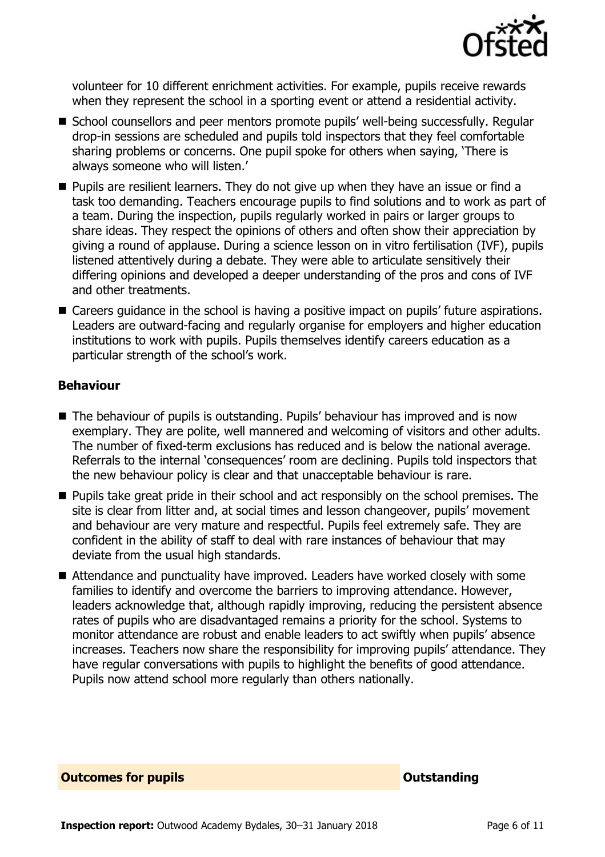

volunteer for 10 different enrichment activities. For example, pupils receive rewards when they represent the school in a sporting event or attend a residential activity.

- School counsellors and peer mentors promote pupils' well-being successfully. Regular drop-in sessions are scheduled and pupils told inspectors that they feel comfortable sharing problems or concerns. One pupil spoke for others when saying, 'There is always someone who will listen.'
- Pupils are resilient learners. They do not give up when they have an issue or find a task too demanding. Teachers encourage pupils to find solutions and to work as part of a team. During the inspection, pupils regularly worked in pairs or larger groups to share ideas. They respect the opinions of others and often show their appreciation by giving a round of applause. During a science lesson on in vitro fertilisation (IVF), pupils listened attentively during a debate. They were able to articulate sensitively their differing opinions and developed a deeper understanding of the pros and cons of IVF and other treatments.
- Careers guidance in the school is having a positive impact on pupils' future aspirations. Leaders are outward-facing and regularly organise for employers and higher education institutions to work with pupils. Pupils themselves identify careers education as a particular strength of the school's work.

#### **Behaviour**

- The behaviour of pupils is outstanding. Pupils' behaviour has improved and is now exemplary. They are polite, well mannered and welcoming of visitors and other adults. The number of fixed-term exclusions has reduced and is below the national average. Referrals to the internal 'consequences' room are declining. Pupils told inspectors that the new behaviour policy is clear and that unacceptable behaviour is rare.
- **Pupils take great pride in their school and act responsibly on the school premises. The** site is clear from litter and, at social times and lesson changeover, pupils' movement and behaviour are very mature and respectful. Pupils feel extremely safe. They are confident in the ability of staff to deal with rare instances of behaviour that may deviate from the usual high standards.
- Attendance and punctuality have improved. Leaders have worked closely with some families to identify and overcome the barriers to improving attendance. However, leaders acknowledge that, although rapidly improving, reducing the persistent absence rates of pupils who are disadvantaged remains a priority for the school. Systems to monitor attendance are robust and enable leaders to act swiftly when pupils' absence increases. Teachers now share the responsibility for improving pupils' attendance. They have regular conversations with pupils to highlight the benefits of good attendance. Pupils now attend school more regularly than others nationally.

**Outcomes for pupils Outstanding**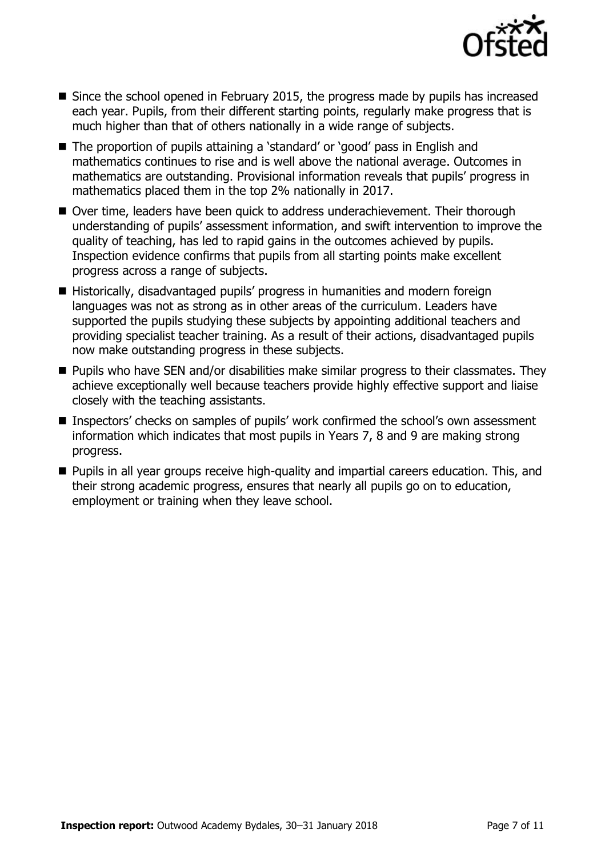

- Since the school opened in February 2015, the progress made by pupils has increased each year. Pupils, from their different starting points, regularly make progress that is much higher than that of others nationally in a wide range of subjects.
- The proportion of pupils attaining a 'standard' or 'good' pass in English and mathematics continues to rise and is well above the national average. Outcomes in mathematics are outstanding. Provisional information reveals that pupils' progress in mathematics placed them in the top 2% nationally in 2017.
- Over time, leaders have been quick to address underachievement. Their thorough understanding of pupils' assessment information, and swift intervention to improve the quality of teaching, has led to rapid gains in the outcomes achieved by pupils. Inspection evidence confirms that pupils from all starting points make excellent progress across a range of subjects.
- Historically, disadvantaged pupils' progress in humanities and modern foreign languages was not as strong as in other areas of the curriculum. Leaders have supported the pupils studying these subjects by appointing additional teachers and providing specialist teacher training. As a result of their actions, disadvantaged pupils now make outstanding progress in these subjects.
- **Pupils who have SEN and/or disabilities make similar progress to their classmates. They** achieve exceptionally well because teachers provide highly effective support and liaise closely with the teaching assistants.
- Inspectors' checks on samples of pupils' work confirmed the school's own assessment information which indicates that most pupils in Years 7, 8 and 9 are making strong progress.
- **Pupils in all year groups receive high-quality and impartial careers education. This, and** their strong academic progress, ensures that nearly all pupils go on to education, employment or training when they leave school.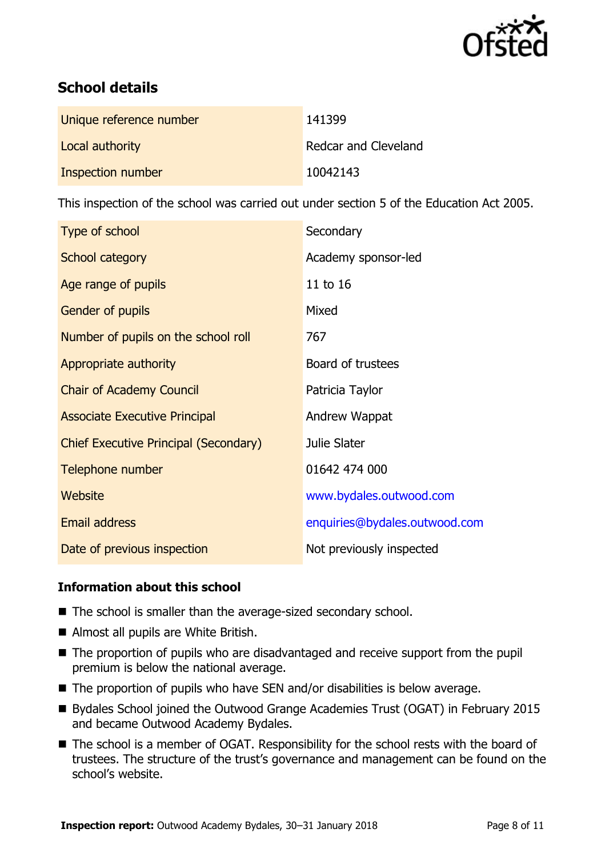

# **School details**

| Unique reference number | 141399                      |
|-------------------------|-----------------------------|
| Local authority         | <b>Redcar and Cleveland</b> |
| Inspection number       | 10042143                    |

This inspection of the school was carried out under section 5 of the Education Act 2005.

| Type of school                               | Secondary                     |
|----------------------------------------------|-------------------------------|
| School category                              | Academy sponsor-led           |
| Age range of pupils                          | 11 to 16                      |
| Gender of pupils                             | Mixed                         |
| Number of pupils on the school roll          | 767                           |
| Appropriate authority                        | Board of trustees             |
| <b>Chair of Academy Council</b>              | Patricia Taylor               |
| <b>Associate Executive Principal</b>         | Andrew Wappat                 |
| <b>Chief Executive Principal (Secondary)</b> | Julie Slater                  |
| Telephone number                             | 01642 474 000                 |
| Website                                      | www.bydales.outwood.com       |
| <b>Email address</b>                         | enquiries@bydales.outwood.com |
| Date of previous inspection                  | Not previously inspected      |

### **Information about this school**

- The school is smaller than the average-sized secondary school.
- Almost all pupils are White British.
- The proportion of pupils who are disadvantaged and receive support from the pupil premium is below the national average.
- The proportion of pupils who have SEN and/or disabilities is below average.
- Bydales School joined the Outwood Grange Academies Trust (OGAT) in February 2015 and became Outwood Academy Bydales.
- The school is a member of OGAT. Responsibility for the school rests with the board of trustees. The structure of the trust's governance and management can be found on the school's website.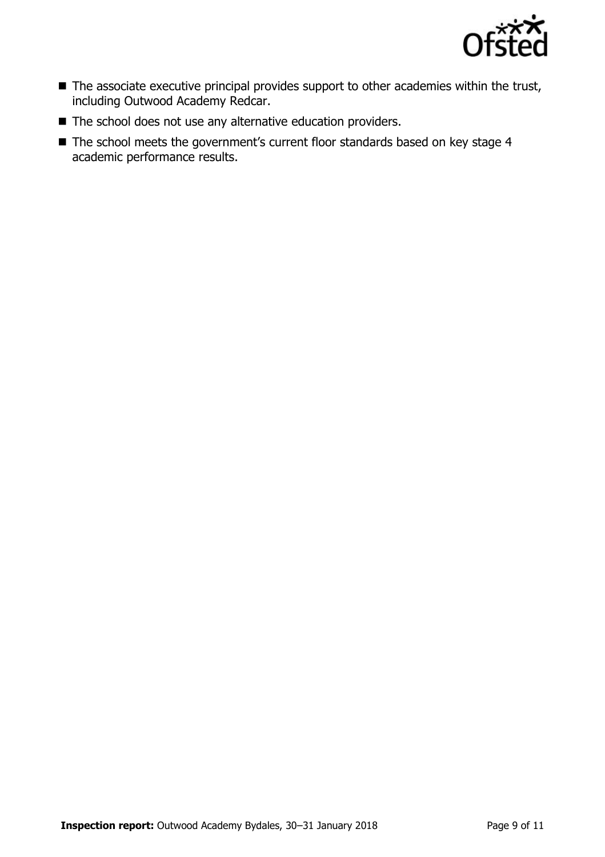

- The associate executive principal provides support to other academies within the trust, including Outwood Academy Redcar.
- The school does not use any alternative education providers.
- The school meets the government's current floor standards based on key stage 4 academic performance results.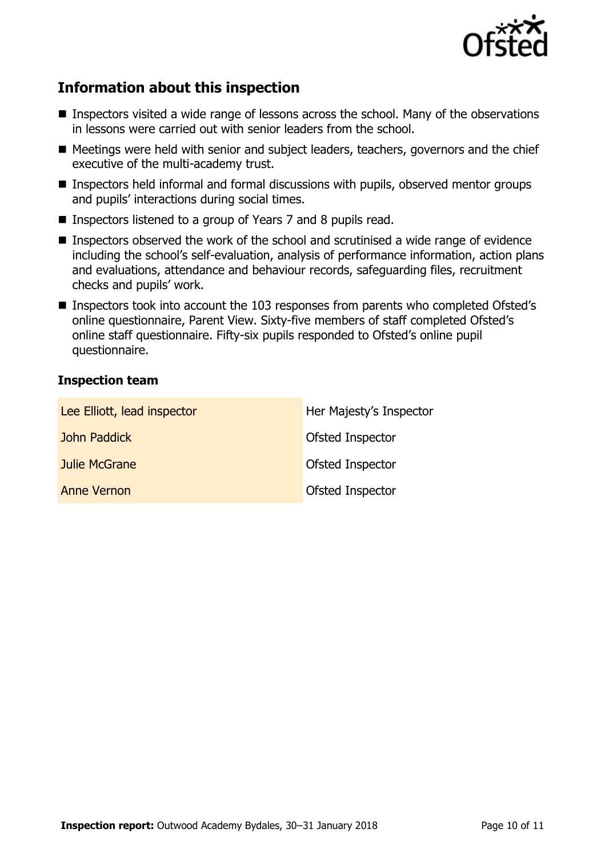

# **Information about this inspection**

- Inspectors visited a wide range of lessons across the school. Many of the observations in lessons were carried out with senior leaders from the school.
- Meetings were held with senior and subject leaders, teachers, governors and the chief executive of the multi-academy trust.
- Inspectors held informal and formal discussions with pupils, observed mentor groups and pupils' interactions during social times.
- Inspectors listened to a group of Years 7 and 8 pupils read.
- Inspectors observed the work of the school and scrutinised a wide range of evidence including the school's self-evaluation, analysis of performance information, action plans and evaluations, attendance and behaviour records, safeguarding files, recruitment checks and pupils' work.
- Inspectors took into account the 103 responses from parents who completed Ofsted's online questionnaire, Parent View. Sixty-five members of staff completed Ofsted's online staff questionnaire. Fifty-six pupils responded to Ofsted's online pupil questionnaire.

#### **Inspection team**

| Lee Elliott, lead inspector | Her Majesty's Inspector |
|-----------------------------|-------------------------|
| John Paddick                | Ofsted Inspector        |
| Julie McGrane               | Ofsted Inspector        |
| <b>Anne Vernon</b>          | Ofsted Inspector        |